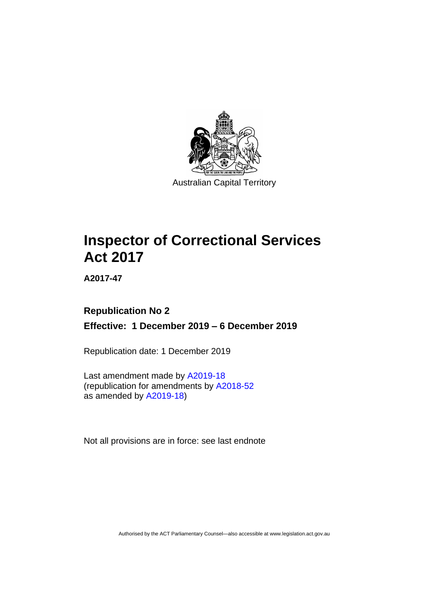

# **Inspector of Correctional Services Act 2017**

**A2017-47**

## **Republication No 2 Effective: 1 December 2019 – 6 December 2019**

Republication date: 1 December 2019

Last amendment made by [A2019-18](http://www.legislation.act.gov.au/a/2019-18/) (republication for amendments by [A2018-52](https://www.legislation.act.gov.au/a/2018-52/) as amended by [A2019-18\)](https://www.legislation.act.gov.au/a/2019-18/)

Not all provisions are in force: see last endnote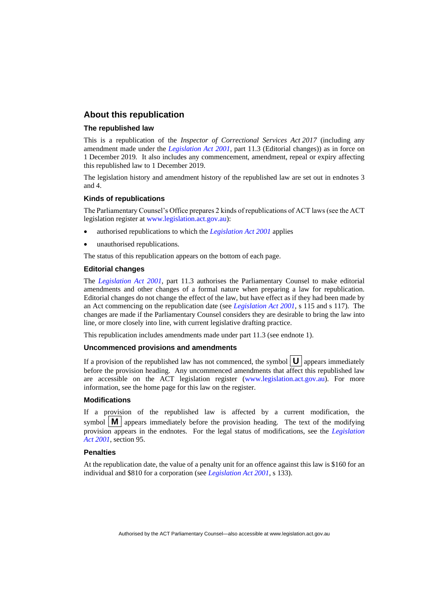## **About this republication**

#### **The republished law**

This is a republication of the *Inspector of Correctional Services Act 2017* (including any amendment made under the *[Legislation Act 2001](http://www.legislation.act.gov.au/a/2001-14)*, part 11.3 (Editorial changes)) as in force on 1 December 2019*.* It also includes any commencement, amendment, repeal or expiry affecting this republished law to 1 December 2019.

The legislation history and amendment history of the republished law are set out in endnotes 3 and 4.

#### **Kinds of republications**

The Parliamentary Counsel's Office prepares 2 kinds of republications of ACT laws (see the ACT legislation register at [www.legislation.act.gov.au\)](http://www.legislation.act.gov.au/):

- authorised republications to which the *[Legislation Act 2001](http://www.legislation.act.gov.au/a/2001-14)* applies
- unauthorised republications.

The status of this republication appears on the bottom of each page.

#### **Editorial changes**

The *[Legislation Act 2001](http://www.legislation.act.gov.au/a/2001-14)*, part 11.3 authorises the Parliamentary Counsel to make editorial amendments and other changes of a formal nature when preparing a law for republication. Editorial changes do not change the effect of the law, but have effect as if they had been made by an Act commencing on the republication date (see *[Legislation Act 2001](http://www.legislation.act.gov.au/a/2001-14)*, s 115 and s 117). The changes are made if the Parliamentary Counsel considers they are desirable to bring the law into line, or more closely into line, with current legislative drafting practice.

This republication includes amendments made under part 11.3 (see endnote 1).

#### **Uncommenced provisions and amendments**

If a provision of the republished law has not commenced, the symbol  $\mathbf{U}$  appears immediately before the provision heading. Any uncommenced amendments that affect this republished law are accessible on the ACT legislation register [\(www.legislation.act.gov.au\)](http://www.legislation.act.gov.au/). For more information, see the home page for this law on the register.

#### **Modifications**

If a provision of the republished law is affected by a current modification, the symbol  $\mathbf{M}$  appears immediately before the provision heading. The text of the modifying provision appears in the endnotes. For the legal status of modifications, see the *[Legislation](http://www.legislation.act.gov.au/a/2001-14)  Act [2001](http://www.legislation.act.gov.au/a/2001-14)*, section 95.

#### **Penalties**

At the republication date, the value of a penalty unit for an offence against this law is \$160 for an individual and \$810 for a corporation (see *[Legislation Act 2001](http://www.legislation.act.gov.au/a/2001-14)*, s 133).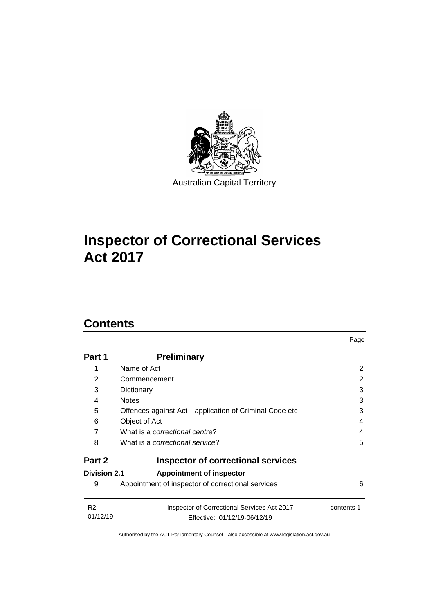

# **Inspector of Correctional Services Act 2017**

## **Contents**

| Part 1                     | <b>Preliminary</b>                                                          |            |
|----------------------------|-----------------------------------------------------------------------------|------------|
| 1                          | Name of Act                                                                 | 2          |
| 2                          | Commencement                                                                | 2          |
| 3                          | Dictionary                                                                  | 3          |
| 4                          | <b>Notes</b>                                                                | 3          |
| 5                          | Offences against Act-application of Criminal Code etc                       | 3          |
| 6                          | Object of Act                                                               | 4          |
| 7                          | What is a correctional centre?                                              | 4          |
| 8                          | What is a correctional service?                                             | 5          |
| Part 2                     | <b>Inspector of correctional services</b>                                   |            |
| <b>Division 2.1</b>        | <b>Appointment of inspector</b>                                             |            |
| 9                          | Appointment of inspector of correctional services                           | 6          |
| R <sub>2</sub><br>01/12/19 | Inspector of Correctional Services Act 2017<br>Effective: 01/12/19-06/12/19 | contents 1 |

Page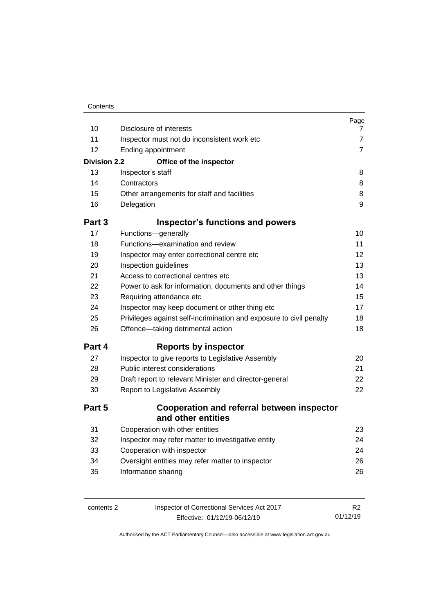| 10                  | Disclosure of interests                                             | Page<br>$\mathbf{7}$ |
|---------------------|---------------------------------------------------------------------|----------------------|
| 11                  | Inspector must not do inconsistent work etc                         | $\overline{7}$       |
| 12                  | Ending appointment                                                  | $\overline{7}$       |
| <b>Division 2.2</b> | Office of the inspector                                             |                      |
| 13                  | Inspector's staff                                                   | 8                    |
| 14                  | Contractors                                                         | 8                    |
| 15                  | Other arrangements for staff and facilities                         | 8                    |
| 16                  | Delegation                                                          | 9                    |
| Part 3              | <b>Inspector's functions and powers</b>                             |                      |
| 17                  | Functions-generally                                                 | 10                   |
| 18                  | Functions-examination and review                                    | 11                   |
| 19                  | Inspector may enter correctional centre etc                         | 12                   |
| 20                  | Inspection guidelines                                               | 13                   |
| 21                  | Access to correctional centres etc                                  | 13                   |
| 22                  | Power to ask for information, documents and other things            | 14                   |
| 23                  | Requiring attendance etc                                            | 15                   |
| 24                  | Inspector may keep document or other thing etc                      | 17                   |
| 25                  | Privileges against self-incrimination and exposure to civil penalty | 18                   |
| 26                  | Offence-taking detrimental action                                   | 18                   |
| Part 4              | <b>Reports by inspector</b>                                         |                      |
| 27                  | Inspector to give reports to Legislative Assembly                   | 20                   |
| 28                  | Public interest considerations                                      | 21                   |
| 29                  | Draft report to relevant Minister and director-general              | 22                   |
| 30                  | Report to Legislative Assembly                                      | 22                   |
| Part 5              | Cooperation and referral between inspector<br>and other entities    |                      |
| 31                  | Cooperation with other entities                                     | 23                   |
| 32                  | Inspector may refer matter to investigative entity                  | 24                   |
| 33                  | Cooperation with inspector                                          | 24                   |
| 34                  | Oversight entities may refer matter to inspector                    | 26                   |
| 35                  | Information sharing                                                 | 26                   |
|                     |                                                                     |                      |
|                     |                                                                     |                      |

| contents 2 |  |  |
|------------|--|--|
|------------|--|--|

Inspector of Correctional Services Act 2017 Effective: 01/12/19-06/12/19

R2 01/12/19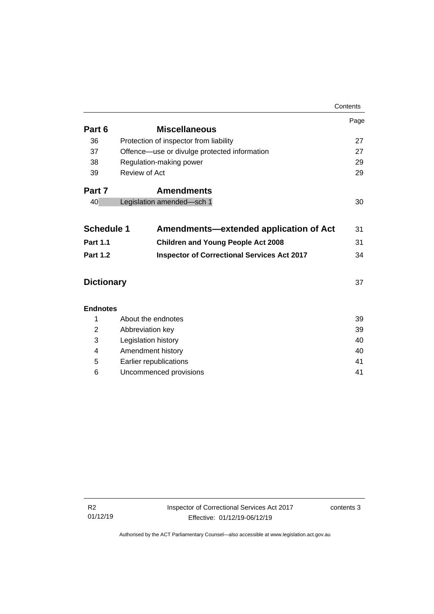|                   |                                                    | Contents |
|-------------------|----------------------------------------------------|----------|
|                   |                                                    | Page     |
| Part 6            | <b>Miscellaneous</b>                               |          |
| 36                | Protection of inspector from liability             | 27       |
| 37                | Offence—use or divulge protected information       | 27       |
| 38                | Regulation-making power                            | 29       |
| 39                | Review of Act                                      | 29       |
| Part 7            | <b>Amendments</b>                                  |          |
| 40                | Legislation amended-sch 1                          | 30       |
|                   |                                                    |          |
| <b>Schedule 1</b> | Amendments-extended application of Act             | 31       |
| <b>Part 1.1</b>   | <b>Children and Young People Act 2008</b>          | 31       |
| <b>Part 1.2</b>   | <b>Inspector of Correctional Services Act 2017</b> | 34       |
| <b>Dictionary</b> |                                                    | 37       |
| <b>Endnotes</b>   |                                                    |          |
| 1                 | About the endnotes                                 | 39       |
| 2                 | Abbreviation key                                   |          |
| 3                 | Legislation history                                |          |
| 4                 | Amendment history                                  |          |
| 5                 | Earlier republications<br>41                       |          |
| 6                 | Uncommenced provisions                             |          |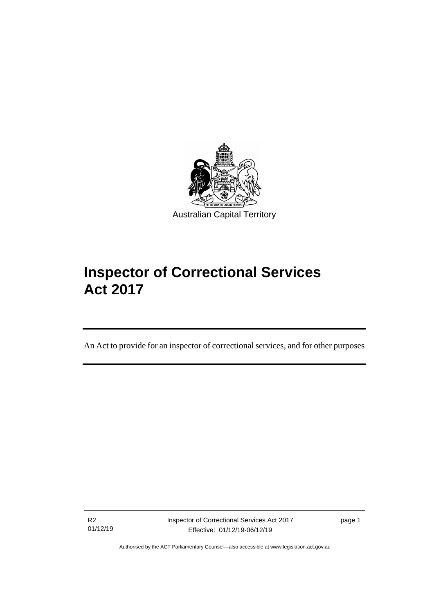

# **Inspector of Correctional Services Act 2017**

An Act to provide for an inspector of correctional services, and for other purposes

R2 01/12/19

I

Inspector of Correctional Services Act 2017 Effective: 01/12/19-06/12/19

page 1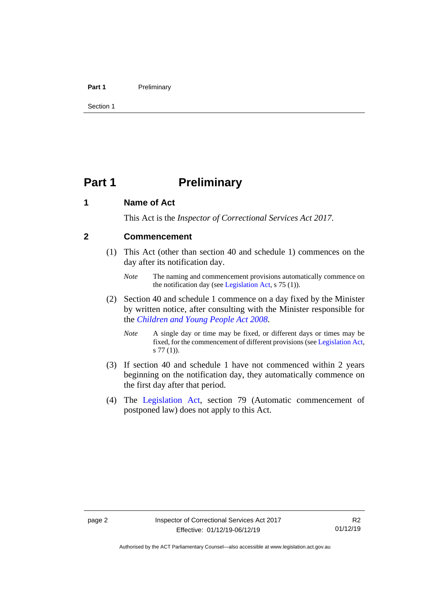#### **Part 1** Preliminary

Section 1

## <span id="page-7-0"></span>**Part 1 Preliminary**

## <span id="page-7-1"></span>**1 Name of Act**

This Act is the *Inspector of Correctional Services Act 2017*.

## <span id="page-7-2"></span>**2 Commencement**

- (1) This Act (other than section 40 and schedule 1) commences on the day after its notification day.
	- *Note* The naming and commencement provisions automatically commence on the notification day (see [Legislation Act,](http://www.legislation.act.gov.au/a/2001-14) s 75 (1)).
- (2) Section 40 and schedule 1 commence on a day fixed by the Minister by written notice, after consulting with the Minister responsible for the *[Children and Young People Act](http://www.legislation.act.gov.au/a/2008-19) 2008*.
	- *Note* A single day or time may be fixed, or different days or times may be fixed, for the commencement of different provisions (se[e Legislation Act,](http://www.legislation.act.gov.au/a/2001-14) s 77 (1)).
- (3) If section 40 and schedule 1 have not commenced within 2 years beginning on the notification day, they automatically commence on the first day after that period.
- (4) The [Legislation Act,](http://www.legislation.act.gov.au/a/2001-14) section 79 (Automatic commencement of postponed law) does not apply to this Act.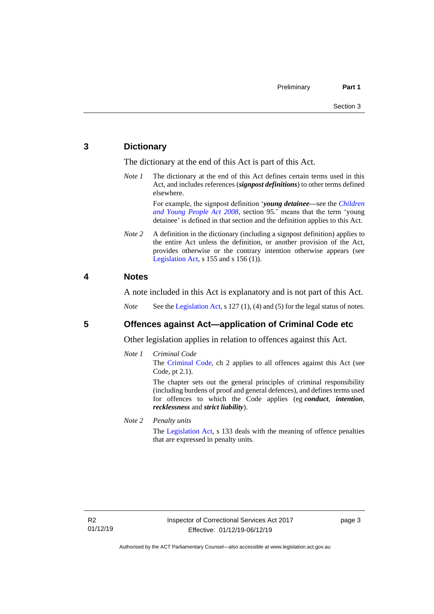## <span id="page-8-0"></span>**3 Dictionary**

The dictionary at the end of this Act is part of this Act.

*Note 1* The dictionary at the end of this Act defines certain terms used in this Act, and includes references (*signpost definitions*) to other terms defined elsewhere.

> For example, the signpost definition '*young detainee—*see the *[Children](http://www.legislation.act.gov.au/a/2008-19)  [and Young People Act 2008](http://www.legislation.act.gov.au/a/2008-19)*, section 95.' means that the term 'young detainee' is defined in that section and the definition applies to this Act.

*Note* 2 A definition in the dictionary (including a signpost definition) applies to the entire Act unless the definition, or another provision of the Act, provides otherwise or the contrary intention otherwise appears (see [Legislation Act,](http://www.legislation.act.gov.au/a/2001-14)  $s$  155 and  $s$  156 (1)).

## <span id="page-8-1"></span>**4 Notes**

A note included in this Act is explanatory and is not part of this Act.

*Note* See the [Legislation Act,](http://www.legislation.act.gov.au/a/2001-14) s 127 (1), (4) and (5) for the legal status of notes.

## <span id="page-8-2"></span>**5 Offences against Act—application of Criminal Code etc**

Other legislation applies in relation to offences against this Act.

*Note 1 Criminal Code* The [Criminal Code,](http://www.legislation.act.gov.au/a/2002-51) ch 2 applies to all offences against this Act (see

Code, pt 2.1).

The chapter sets out the general principles of criminal responsibility (including burdens of proof and general defences), and defines terms used for offences to which the Code applies (eg *conduct*, *intention*, *recklessness* and *strict liability*).

*Note 2 Penalty units*

The [Legislation Act,](http://www.legislation.act.gov.au/a/2001-14) s 133 deals with the meaning of offence penalties that are expressed in penalty units.

page 3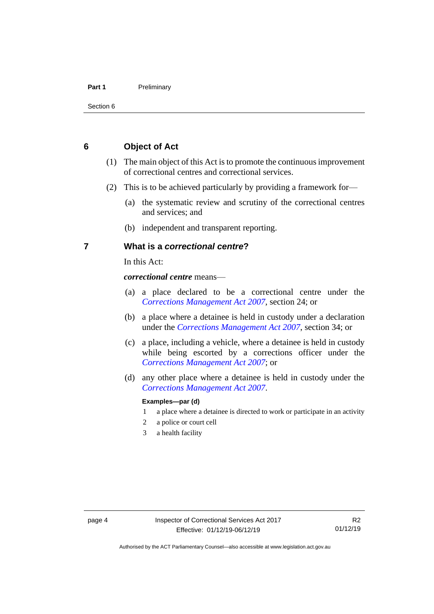#### **Part 1** Preliminary

Section 6

## <span id="page-9-0"></span>**6 Object of Act**

- (1) The main object of this Act is to promote the continuous improvement of correctional centres and correctional services.
- (2) This is to be achieved particularly by providing a framework for—
	- (a) the systematic review and scrutiny of the correctional centres and services; and
	- (b) independent and transparent reporting.

## <span id="page-9-1"></span>**7 What is a** *correctional centre***?**

In this Act:

*correctional centre* means—

- (a) a place declared to be a correctional centre under the *[Corrections Management Act 2007](http://www.legislation.act.gov.au/a/2007-15)*, section 24; or
- (b) a place where a detainee is held in custody under a declaration under the *[Corrections Management Act 2007](http://www.legislation.act.gov.au/a/2007-15)*, section 34; or
- (c) a place, including a vehicle, where a detainee is held in custody while being escorted by a corrections officer under the *[Corrections Management Act 2007](http://www.legislation.act.gov.au/a/2007-15)*; or
- (d) any other place where a detainee is held in custody under the *[Corrections Management Act 2007](http://www.legislation.act.gov.au/a/2007-15)*.

#### **Examples—par (d)**

- 1 a place where a detainee is directed to work or participate in an activity
- 2 a police or court cell
- 3 a health facility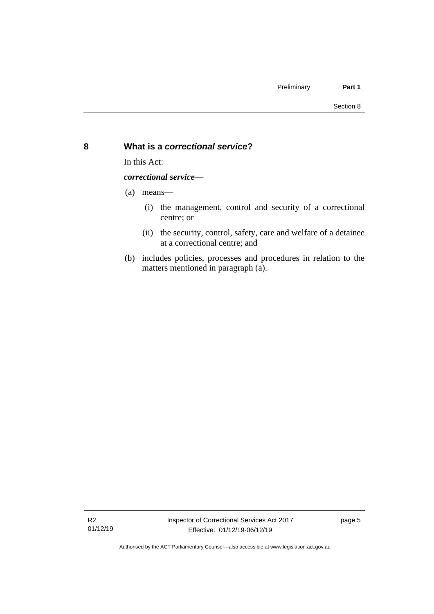## <span id="page-10-0"></span>**8 What is a** *correctional service***?**

In this Act:

*correctional service*—

- (a) means—
	- (i) the management, control and security of a correctional centre; or
	- (ii) the security, control, safety, care and welfare of a detainee at a correctional centre; and
- (b) includes policies, processes and procedures in relation to the matters mentioned in paragraph (a).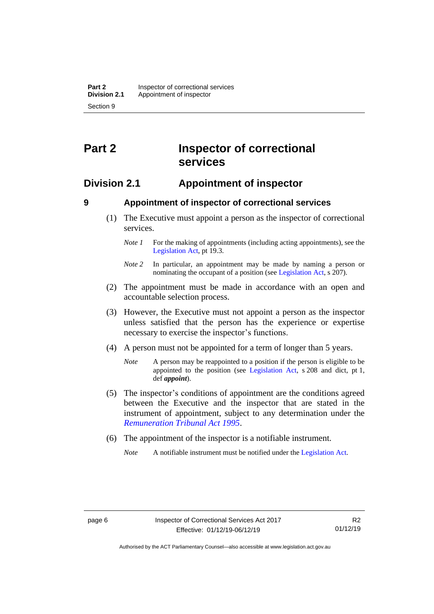## <span id="page-11-0"></span>**Part 2 Inspector of correctional services**

## <span id="page-11-1"></span>**Division 2.1 Appointment of inspector**

<span id="page-11-2"></span>

## **9 Appointment of inspector of correctional services**

- (1) The Executive must appoint a person as the inspector of correctional services.
	- *Note 1* For the making of appointments (including acting appointments), see the [Legislation Act,](http://www.legislation.act.gov.au/a/2001-14) pt 19.3.
	- *Note 2* In particular, an appointment may be made by naming a person or nominating the occupant of a position (see [Legislation Act,](http://www.legislation.act.gov.au/a/2001-14) s 207).
- (2) The appointment must be made in accordance with an open and accountable selection process.
- (3) However, the Executive must not appoint a person as the inspector unless satisfied that the person has the experience or expertise necessary to exercise the inspector's functions.
- (4) A person must not be appointed for a term of longer than 5 years.
	- *Note* A person may be reappointed to a position if the person is eligible to be appointed to the position (see [Legislation Act,](http://www.legislation.act.gov.au/a/2001-14) s 208 and dict, pt 1, def *appoint*).
- (5) The inspector's conditions of appointment are the conditions agreed between the Executive and the inspector that are stated in the instrument of appointment, subject to any determination under the *[Remuneration Tribunal Act 1995](http://www.legislation.act.gov.au/a/1995-55)*.
- (6) The appointment of the inspector is a notifiable instrument.

*Note* A notifiable instrument must be notified under the [Legislation Act.](http://www.legislation.act.gov.au/a/2001-14)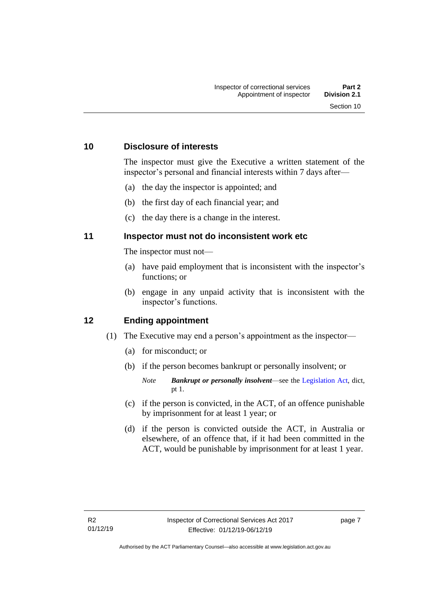## <span id="page-12-0"></span>**10 Disclosure of interests**

The inspector must give the Executive a written statement of the inspector's personal and financial interests within 7 days after—

- (a) the day the inspector is appointed; and
- (b) the first day of each financial year; and
- (c) the day there is a change in the interest.

## <span id="page-12-1"></span>**11 Inspector must not do inconsistent work etc**

The inspector must not—

- (a) have paid employment that is inconsistent with the inspector's functions; or
- (b) engage in any unpaid activity that is inconsistent with the inspector's functions.

## <span id="page-12-2"></span>**12 Ending appointment**

- (1) The Executive may end a person's appointment as the inspector—
	- (a) for misconduct; or
	- (b) if the person becomes bankrupt or personally insolvent; or
		- *Note Bankrupt or personally insolvent*—see the [Legislation Act,](http://www.legislation.act.gov.au/a/2001-14) dict, pt 1.
	- (c) if the person is convicted, in the ACT, of an offence punishable by imprisonment for at least 1 year; or
	- (d) if the person is convicted outside the ACT, in Australia or elsewhere, of an offence that, if it had been committed in the ACT, would be punishable by imprisonment for at least 1 year.

page 7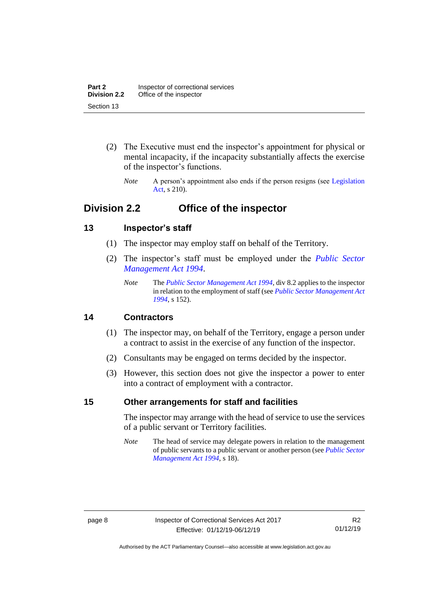- (2) The Executive must end the inspector's appointment for physical or mental incapacity, if the incapacity substantially affects the exercise of the inspector's functions.
	- *Note* A person's appointment also ends if the person resigns (see Legislation [Act,](http://www.legislation.act.gov.au/a/2001-14) s 210).

## <span id="page-13-0"></span>**Division 2.2 Office of the inspector**

## <span id="page-13-1"></span>**13 Inspector's staff**

- (1) The inspector may employ staff on behalf of the Territory.
- (2) The inspector's staff must be employed under the *[Public Sector](http://www.legislation.act.gov.au/a/1994-37)  [Management Act 1994](http://www.legislation.act.gov.au/a/1994-37)*.
	- *Note* The *[Public Sector Management Act 1994](http://www.legislation.act.gov.au/a/1994-37)*, div 8.2 applies to the inspector in relation to the employment of staff (see *[Public Sector Management Act](http://www.legislation.act.gov.au/a/1994-37)  [1994](http://www.legislation.act.gov.au/a/1994-37)*, s 152).

## <span id="page-13-2"></span>**14 Contractors**

- (1) The inspector may, on behalf of the Territory, engage a person under a contract to assist in the exercise of any function of the inspector.
- (2) Consultants may be engaged on terms decided by the inspector.
- (3) However, this section does not give the inspector a power to enter into a contract of employment with a contractor.

## <span id="page-13-3"></span>**15 Other arrangements for staff and facilities**

The inspector may arrange with the head of service to use the services of a public servant or Territory facilities.

*Note* The head of service may delegate powers in relation to the management of public servants to a public servant or another person (see *[Public Sector](http://www.legislation.act.gov.au/a/1994-37)  [Management Act 1994](http://www.legislation.act.gov.au/a/1994-37)*, s 18).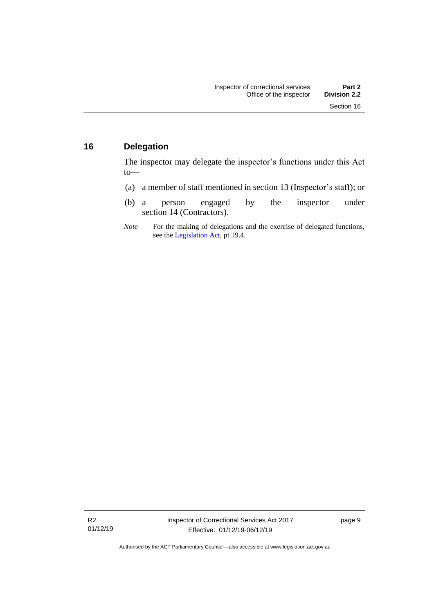## <span id="page-14-0"></span>**16 Delegation**

The inspector may delegate the inspector's functions under this Act to—

- (a) a member of staff mentioned in section 13 (Inspector's staff); or
- (b) a person engaged by the inspector under section 14 (Contractors).
- *Note* For the making of delegations and the exercise of delegated functions, see the [Legislation Act,](http://www.legislation.act.gov.au/a/2001-14) pt 19.4.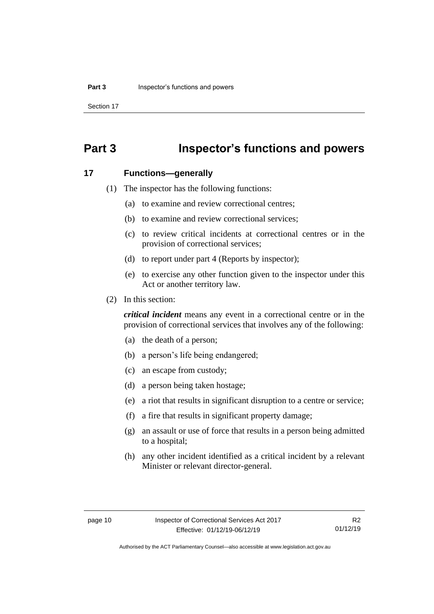Section 17

## <span id="page-15-0"></span>**Part 3 Inspector's functions and powers**

### <span id="page-15-1"></span>**17 Functions—generally**

- (1) The inspector has the following functions:
	- (a) to examine and review correctional centres;
	- (b) to examine and review correctional services;
	- (c) to review critical incidents at correctional centres or in the provision of correctional services;
	- (d) to report under part 4 (Reports by inspector);
	- (e) to exercise any other function given to the inspector under this Act or another territory law.
- (2) In this section:

*critical incident* means any event in a correctional centre or in the provision of correctional services that involves any of the following:

- (a) the death of a person;
- (b) a person's life being endangered;
- (c) an escape from custody;
- (d) a person being taken hostage;
- (e) a riot that results in significant disruption to a centre or service;
- (f) a fire that results in significant property damage;
- (g) an assault or use of force that results in a person being admitted to a hospital;
- (h) any other incident identified as a critical incident by a relevant Minister or relevant director-general.

R2 01/12/19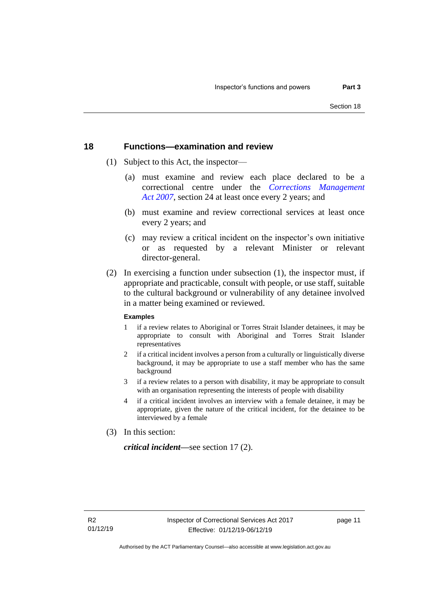## <span id="page-16-0"></span>**18 Functions—examination and review**

- (1) Subject to this Act, the inspector—
	- (a) must examine and review each place declared to be a correctional centre under the *[Corrections Management](http://www.legislation.act.gov.au/a/2007-15)  Act [2007](http://www.legislation.act.gov.au/a/2007-15)*, section 24 at least once every 2 years; and
	- (b) must examine and review correctional services at least once every 2 years; and
	- (c) may review a critical incident on the inspector's own initiative or as requested by a relevant Minister or relevant director-general.
- (2) In exercising a function under subsection (1), the inspector must, if appropriate and practicable, consult with people, or use staff, suitable to the cultural background or vulnerability of any detainee involved in a matter being examined or reviewed.

#### **Examples**

- 1 if a review relates to Aboriginal or Torres Strait Islander detainees, it may be appropriate to consult with Aboriginal and Torres Strait Islander representatives
- 2 if a critical incident involves a person from a culturally or linguistically diverse background, it may be appropriate to use a staff member who has the same background
- 3 if a review relates to a person with disability, it may be appropriate to consult with an organisation representing the interests of people with disability
- 4 if a critical incident involves an interview with a female detainee, it may be appropriate, given the nature of the critical incident, for the detainee to be interviewed by a female
- (3) In this section:

*critical incident—*see section 17 (2).

page 11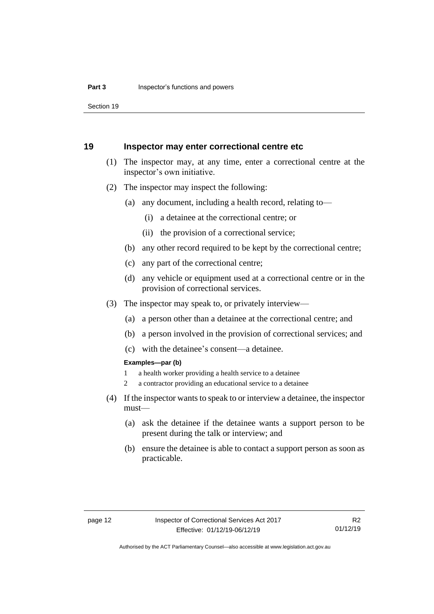Section 19

### <span id="page-17-0"></span>**19 Inspector may enter correctional centre etc**

- (1) The inspector may, at any time, enter a correctional centre at the inspector's own initiative.
- (2) The inspector may inspect the following:
	- (a) any document, including a health record, relating to—
		- (i) a detainee at the correctional centre; or
		- (ii) the provision of a correctional service;
	- (b) any other record required to be kept by the correctional centre;
	- (c) any part of the correctional centre;
	- (d) any vehicle or equipment used at a correctional centre or in the provision of correctional services.
- (3) The inspector may speak to, or privately interview—
	- (a) a person other than a detainee at the correctional centre; and
	- (b) a person involved in the provision of correctional services; and
	- (c) with the detainee's consent—a detainee.

#### **Examples—par (b)**

- 1 a health worker providing a health service to a detainee
- 2 a contractor providing an educational service to a detainee
- (4) If the inspector wants to speak to or interview a detainee, the inspector must—
	- (a) ask the detainee if the detainee wants a support person to be present during the talk or interview; and
	- (b) ensure the detainee is able to contact a support person as soon as practicable.

Authorised by the ACT Parliamentary Counsel—also accessible at www.legislation.act.gov.au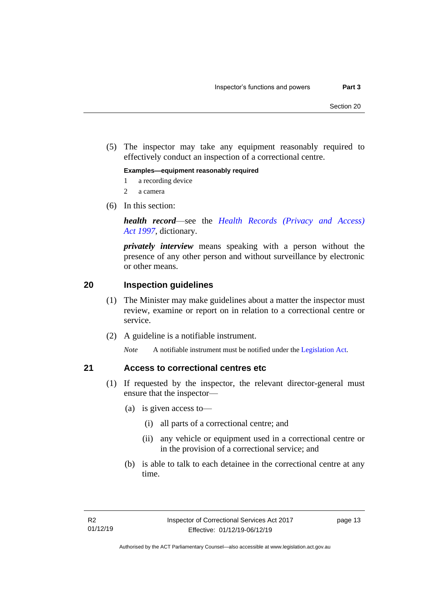(5) The inspector may take any equipment reasonably required to effectively conduct an inspection of a correctional centre.

**Examples—equipment reasonably required**

- 1 a recording device
- 2 a camera
- (6) In this section:

*health record*—see the *[Health Records \(Privacy and Access\)](http://www.legislation.act.gov.au/a/1997-125)  Act [1997](http://www.legislation.act.gov.au/a/1997-125)*, dictionary.

*privately interview* means speaking with a person without the presence of any other person and without surveillance by electronic or other means.

## <span id="page-18-0"></span>**20 Inspection guidelines**

- (1) The Minister may make guidelines about a matter the inspector must review, examine or report on in relation to a correctional centre or service.
- (2) A guideline is a notifiable instrument.

*Note* A notifiable instrument must be notified under the [Legislation Act.](http://www.legislation.act.gov.au/a/2001-14)

## <span id="page-18-1"></span>**21 Access to correctional centres etc**

- (1) If requested by the inspector, the relevant director-general must ensure that the inspector—
	- (a) is given access to—
		- (i) all parts of a correctional centre; and
		- (ii) any vehicle or equipment used in a correctional centre or in the provision of a correctional service; and
	- (b) is able to talk to each detainee in the correctional centre at any time.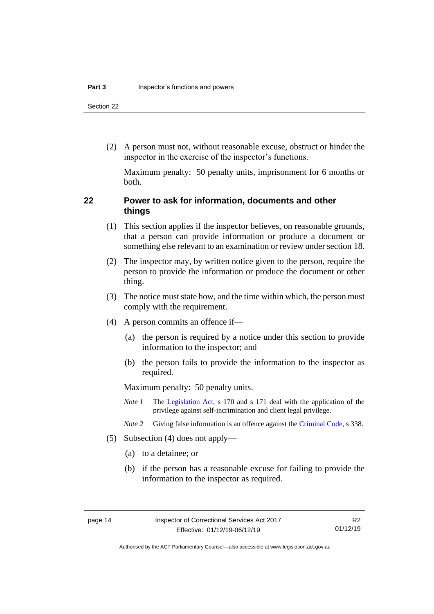Section 22

(2) A person must not, without reasonable excuse, obstruct or hinder the inspector in the exercise of the inspector's functions.

Maximum penalty: 50 penalty units, imprisonment for 6 months or both.

## <span id="page-19-0"></span>**22 Power to ask for information, documents and other things**

- (1) This section applies if the inspector believes, on reasonable grounds, that a person can provide information or produce a document or something else relevant to an examination or review under section 18.
- (2) The inspector may, by written notice given to the person, require the person to provide the information or produce the document or other thing.
- (3) The notice must state how, and the time within which, the person must comply with the requirement.
- (4) A person commits an offence if—
	- (a) the person is required by a notice under this section to provide information to the inspector; and
	- (b) the person fails to provide the information to the inspector as required.

Maximum penalty: 50 penalty units.

- *Note 1* The [Legislation Act,](http://www.legislation.act.gov.au/a/2001-14) s 170 and s 171 deal with the application of the privilege against self-incrimination and client legal privilege.
- *Note 2* Giving false information is an offence against th[e Criminal Code,](http://www.legislation.act.gov.au/a/2002-51) s 338.
- (5) Subsection (4) does not apply—
	- (a) to a detainee; or
	- (b) if the person has a reasonable excuse for failing to provide the information to the inspector as required.

R2 01/12/19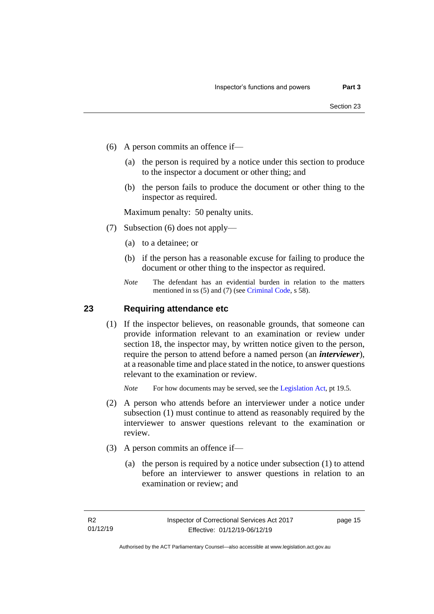- (6) A person commits an offence if—
	- (a) the person is required by a notice under this section to produce to the inspector a document or other thing; and
	- (b) the person fails to produce the document or other thing to the inspector as required.

Maximum penalty: 50 penalty units.

- (7) Subsection (6) does not apply—
	- (a) to a detainee; or
	- (b) if the person has a reasonable excuse for failing to produce the document or other thing to the inspector as required.
	- *Note* The defendant has an evidential burden in relation to the matters mentioned in ss (5) and (7) (see [Criminal Code,](http://www.legislation.act.gov.au/a/2002-51) s 58).

## <span id="page-20-0"></span>**23 Requiring attendance etc**

(1) If the inspector believes, on reasonable grounds, that someone can provide information relevant to an examination or review under section 18, the inspector may, by written notice given to the person, require the person to attend before a named person (an *interviewer*), at a reasonable time and place stated in the notice, to answer questions relevant to the examination or review.

*Note* For how documents may be served, see th[e Legislation Act,](http://www.legislation.act.gov.au/a/2001-14) pt 19.5.

- (2) A person who attends before an interviewer under a notice under subsection (1) must continue to attend as reasonably required by the interviewer to answer questions relevant to the examination or review.
- (3) A person commits an offence if—
	- (a) the person is required by a notice under subsection (1) to attend before an interviewer to answer questions in relation to an examination or review; and

page 15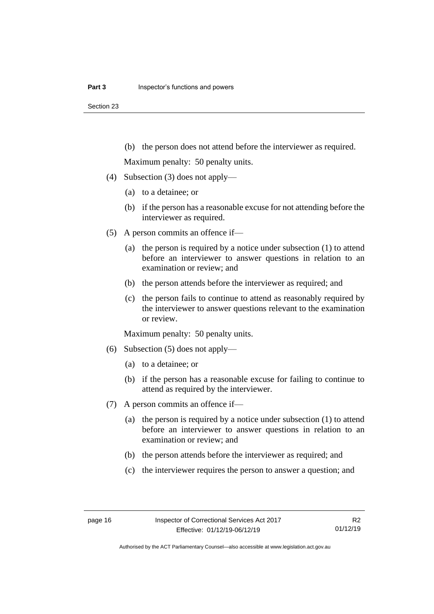(b) the person does not attend before the interviewer as required.

Maximum penalty: 50 penalty units.

- (4) Subsection (3) does not apply—
	- (a) to a detainee; or
	- (b) if the person has a reasonable excuse for not attending before the interviewer as required.
- (5) A person commits an offence if—
	- (a) the person is required by a notice under subsection (1) to attend before an interviewer to answer questions in relation to an examination or review; and
	- (b) the person attends before the interviewer as required; and
	- (c) the person fails to continue to attend as reasonably required by the interviewer to answer questions relevant to the examination or review.

Maximum penalty: 50 penalty units.

- (6) Subsection (5) does not apply—
	- (a) to a detainee; or
	- (b) if the person has a reasonable excuse for failing to continue to attend as required by the interviewer.
- (7) A person commits an offence if—
	- (a) the person is required by a notice under subsection (1) to attend before an interviewer to answer questions in relation to an examination or review; and
	- (b) the person attends before the interviewer as required; and
	- (c) the interviewer requires the person to answer a question; and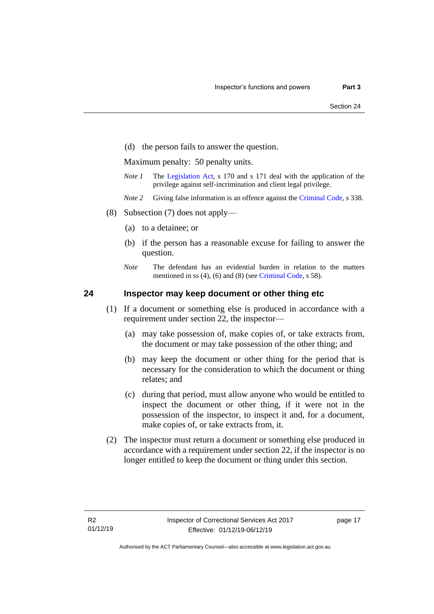(d) the person fails to answer the question.

Maximum penalty: 50 penalty units.

- *Note 1* The [Legislation Act,](http://www.legislation.act.gov.au/a/2001-14) s 170 and s 171 deal with the application of the privilege against self-incrimination and client legal privilege.
- *Note 2* Giving false information is an offence against th[e Criminal Code,](http://www.legislation.act.gov.au/a/2002-51) s 338.
- (8) Subsection (7) does not apply—
	- (a) to a detainee; or
	- (b) if the person has a reasonable excuse for failing to answer the question.
	- *Note* The defendant has an evidential burden in relation to the matters mentioned in ss (4), (6) and (8) (see [Criminal Code,](http://www.legislation.act.gov.au/a/2002-51) s 58).

## <span id="page-22-0"></span>**24 Inspector may keep document or other thing etc**

- (1) If a document or something else is produced in accordance with a requirement under section 22, the inspector—
	- (a) may take possession of, make copies of, or take extracts from, the document or may take possession of the other thing; and
	- (b) may keep the document or other thing for the period that is necessary for the consideration to which the document or thing relates; and
	- (c) during that period, must allow anyone who would be entitled to inspect the document or other thing, if it were not in the possession of the inspector, to inspect it and, for a document, make copies of, or take extracts from, it.
- (2) The inspector must return a document or something else produced in accordance with a requirement under section 22, if the inspector is no longer entitled to keep the document or thing under this section.

page 17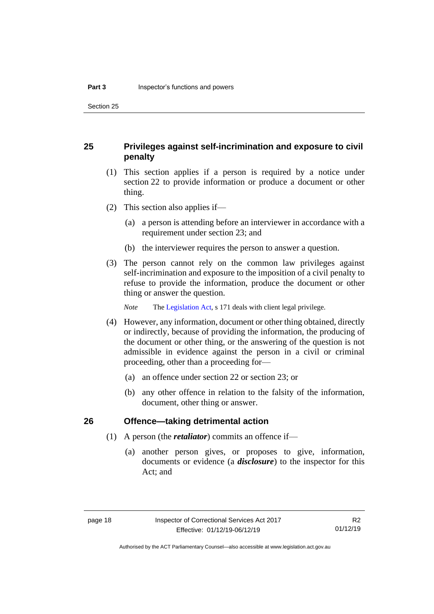Section 25

## <span id="page-23-0"></span>**25 Privileges against self-incrimination and exposure to civil penalty**

- (1) This section applies if a person is required by a notice under section 22 to provide information or produce a document or other thing.
- (2) This section also applies if—
	- (a) a person is attending before an interviewer in accordance with a requirement under section 23; and
	- (b) the interviewer requires the person to answer a question.
- (3) The person cannot rely on the common law privileges against self-incrimination and exposure to the imposition of a civil penalty to refuse to provide the information, produce the document or other thing or answer the question.

*Note* The [Legislation Act,](http://www.legislation.act.gov.au/a/2001-14) s 171 deals with client legal privilege.

- (4) However, any information, document or other thing obtained, directly or indirectly, because of providing the information, the producing of the document or other thing, or the answering of the question is not admissible in evidence against the person in a civil or criminal proceeding, other than a proceeding for—
	- (a) an offence under section 22 or section 23; or
	- (b) any other offence in relation to the falsity of the information, document, other thing or answer.

## <span id="page-23-1"></span>**26 Offence—taking detrimental action**

- (1) A person (the *retaliator*) commits an offence if—
	- (a) another person gives, or proposes to give, information, documents or evidence (a *disclosure*) to the inspector for this Act; and

R2 01/12/19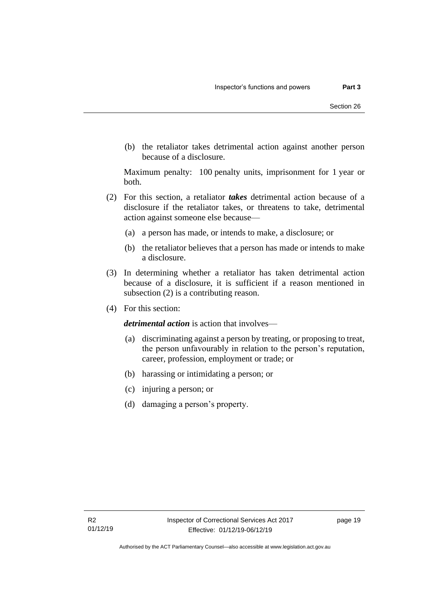(b) the retaliator takes detrimental action against another person because of a disclosure.

Maximum penalty: 100 penalty units, imprisonment for 1 year or both.

- (2) For this section, a retaliator *takes* detrimental action because of a disclosure if the retaliator takes, or threatens to take, detrimental action against someone else because—
	- (a) a person has made, or intends to make, a disclosure; or
	- (b) the retaliator believes that a person has made or intends to make a disclosure.
- (3) In determining whether a retaliator has taken detrimental action because of a disclosure, it is sufficient if a reason mentioned in subsection (2) is a contributing reason.
- (4) For this section:

*detrimental action* is action that involves—

- (a) discriminating against a person by treating, or proposing to treat, the person unfavourably in relation to the person's reputation, career, profession, employment or trade; or
- (b) harassing or intimidating a person; or
- (c) injuring a person; or
- (d) damaging a person's property.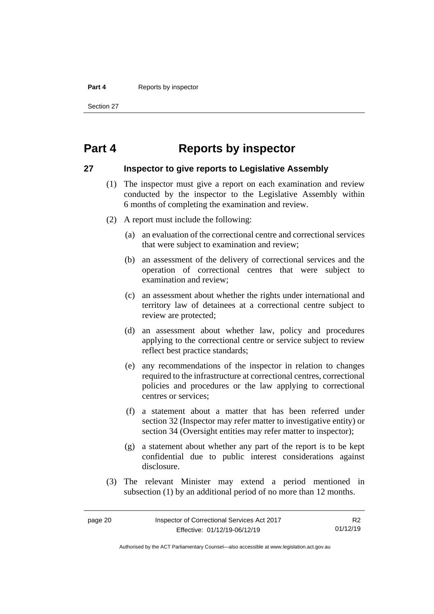#### **Part 4** Reports by inspector

Section 27

## <span id="page-25-0"></span>**Part 4 Reports by inspector**

## <span id="page-25-1"></span>**27 Inspector to give reports to Legislative Assembly**

- (1) The inspector must give a report on each examination and review conducted by the inspector to the Legislative Assembly within 6 months of completing the examination and review.
- (2) A report must include the following:
	- (a) an evaluation of the correctional centre and correctional services that were subject to examination and review;
	- (b) an assessment of the delivery of correctional services and the operation of correctional centres that were subject to examination and review;
	- (c) an assessment about whether the rights under international and territory law of detainees at a correctional centre subject to review are protected;
	- (d) an assessment about whether law, policy and procedures applying to the correctional centre or service subject to review reflect best practice standards;
	- (e) any recommendations of the inspector in relation to changes required to the infrastructure at correctional centres, correctional policies and procedures or the law applying to correctional centres or services;
	- (f) a statement about a matter that has been referred under section 32 (Inspector may refer matter to investigative entity) or section 34 (Oversight entities may refer matter to inspector);
	- (g) a statement about whether any part of the report is to be kept confidential due to public interest considerations against disclosure.
- (3) The relevant Minister may extend a period mentioned in subsection (1) by an additional period of no more than 12 months.

R2 01/12/19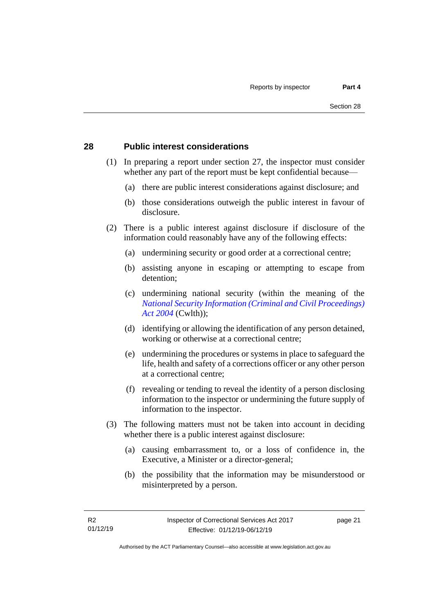## <span id="page-26-0"></span>**28 Public interest considerations**

- (1) In preparing a report under section 27, the inspector must consider whether any part of the report must be kept confidential because—
	- (a) there are public interest considerations against disclosure; and
	- (b) those considerations outweigh the public interest in favour of disclosure.
- (2) There is a public interest against disclosure if disclosure of the information could reasonably have any of the following effects:
	- (a) undermining security or good order at a correctional centre;
	- (b) assisting anyone in escaping or attempting to escape from detention;
	- (c) undermining national security (within the meaning of the *[National Security Information \(Criminal and Civil Proceedings\)](https://www.legislation.gov.au/Series/C2004A01385)  [Act 2004](https://www.legislation.gov.au/Series/C2004A01385)* (Cwlth));
	- (d) identifying or allowing the identification of any person detained, working or otherwise at a correctional centre;
	- (e) undermining the procedures or systems in place to safeguard the life, health and safety of a corrections officer or any other person at a correctional centre;
	- (f) revealing or tending to reveal the identity of a person disclosing information to the inspector or undermining the future supply of information to the inspector.
- (3) The following matters must not be taken into account in deciding whether there is a public interest against disclosure:
	- (a) causing embarrassment to, or a loss of confidence in, the Executive, a Minister or a director-general;
	- (b) the possibility that the information may be misunderstood or misinterpreted by a person.

page 21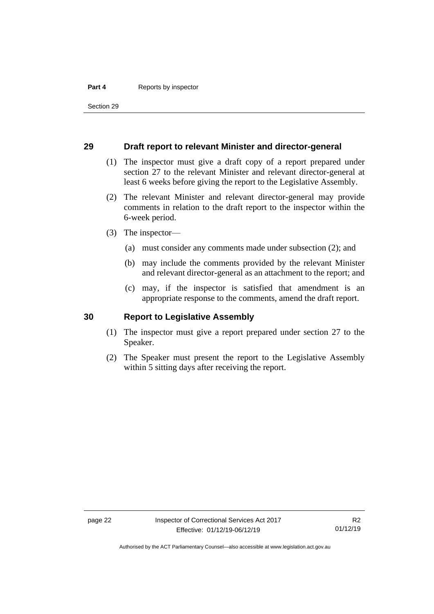#### **Part 4** Reports by inspector

Section 29

### <span id="page-27-0"></span>**29 Draft report to relevant Minister and director-general**

- (1) The inspector must give a draft copy of a report prepared under section 27 to the relevant Minister and relevant director-general at least 6 weeks before giving the report to the Legislative Assembly.
- (2) The relevant Minister and relevant director-general may provide comments in relation to the draft report to the inspector within the 6-week period.
- (3) The inspector—
	- (a) must consider any comments made under subsection (2); and
	- (b) may include the comments provided by the relevant Minister and relevant director-general as an attachment to the report; and
	- (c) may, if the inspector is satisfied that amendment is an appropriate response to the comments, amend the draft report.

### <span id="page-27-1"></span>**30 Report to Legislative Assembly**

- (1) The inspector must give a report prepared under section 27 to the Speaker.
- (2) The Speaker must present the report to the Legislative Assembly within 5 sitting days after receiving the report.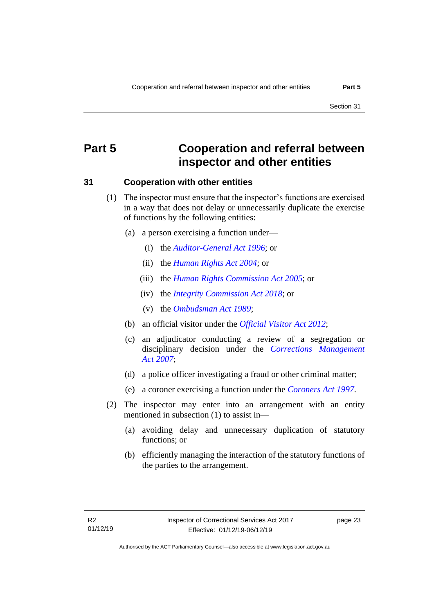Section 31

## <span id="page-28-0"></span>**Part 5 Cooperation and referral between inspector and other entities**

### <span id="page-28-1"></span>**31 Cooperation with other entities**

- (1) The inspector must ensure that the inspector's functions are exercised in a way that does not delay or unnecessarily duplicate the exercise of functions by the following entities:
	- (a) a person exercising a function under—
		- (i) the *[Auditor-General Act](http://www.legislation.act.gov.au/a/1996-23) 1996*; or
		- (ii) the *[Human Rights Act](http://www.legislation.act.gov.au/a/2004-5) 2004*; or
		- (iii) the *[Human Rights Commission Act](http://www.legislation.act.gov.au/a/2005-40) 2005*; or
		- (iv) the *[Integrity Commission Act 2018](http://www.legislation.act.gov.au/a/2018-52)*; or
		- (v) the *[Ombudsman Act](http://www.legislation.act.gov.au/a/alt_a1989-45co) 1989*;
	- (b) an official visitor under the *[Official Visitor Act 2012](http://www.legislation.act.gov.au/a/2012-33)*;
	- (c) an adjudicator conducting a review of a segregation or disciplinary decision under the *[Corrections Management](http://www.legislation.act.gov.au/a/2007-15)  Act [2007](http://www.legislation.act.gov.au/a/2007-15)*;
	- (d) a police officer investigating a fraud or other criminal matter;
	- (e) a coroner exercising a function under the *[Coroners Act](http://www.legislation.act.gov.au/a/1997-57) 1997*.
- (2) The inspector may enter into an arrangement with an entity mentioned in subsection (1) to assist in—
	- (a) avoiding delay and unnecessary duplication of statutory functions; or
	- (b) efficiently managing the interaction of the statutory functions of the parties to the arrangement.

page 23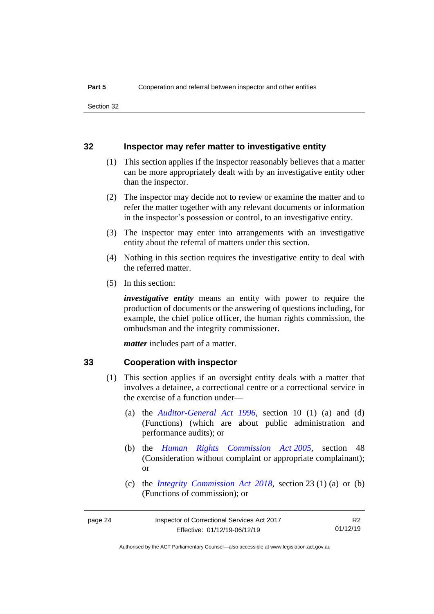### <span id="page-29-0"></span>**32 Inspector may refer matter to investigative entity**

- (1) This section applies if the inspector reasonably believes that a matter can be more appropriately dealt with by an investigative entity other than the inspector.
- (2) The inspector may decide not to review or examine the matter and to refer the matter together with any relevant documents or information in the inspector's possession or control, to an investigative entity.
- (3) The inspector may enter into arrangements with an investigative entity about the referral of matters under this section.
- (4) Nothing in this section requires the investigative entity to deal with the referred matter.
- (5) In this section:

*investigative entity* means an entity with power to require the production of documents or the answering of questions including, for example, the chief police officer, the human rights commission, the ombudsman and the integrity commissioner.

*matter* includes part of a matter.

#### <span id="page-29-1"></span>**33 Cooperation with inspector**

- (1) This section applies if an oversight entity deals with a matter that involves a detainee, a correctional centre or a correctional service in the exercise of a function under—
	- (a) the *[Auditor-General Act 1996](http://www.legislation.act.gov.au/a/1996-23)*, section 10 (1) (a) and (d) (Functions) (which are about public administration and performance audits); or
	- (b) the *[Human Rights Commission Act](http://www.legislation.act.gov.au/a/2005-40) 2005*, section 48 (Consideration without complaint or appropriate complainant); or
	- (c) the *[Integrity Commission Act 2018](http://www.legislation.act.gov.au/a/2018-52)*, section 23 (1) (a) or (b) (Functions of commission); or

| page 24 | Inspector of Correctional Services Act 2017 | R <sub>2</sub> |
|---------|---------------------------------------------|----------------|
|         | Effective: 01/12/19-06/12/19                | 01/12/19       |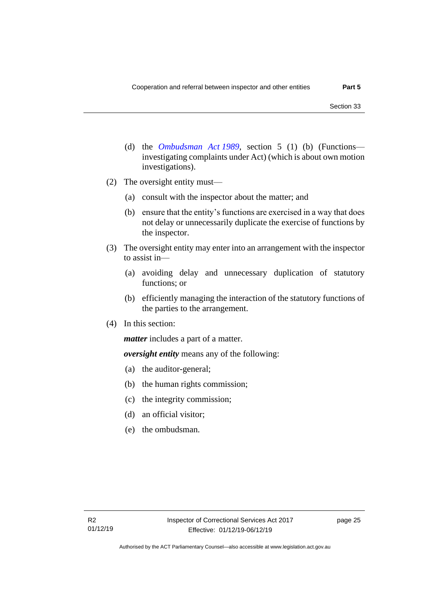- (d) the *[Ombudsman Act](http://www.legislation.act.gov.au/a/alt_a1989-45co) 1989*, section 5 (1) (b) (Functions investigating complaints under Act) (which is about own motion investigations).
- (2) The oversight entity must—
	- (a) consult with the inspector about the matter; and
	- (b) ensure that the entity's functions are exercised in a way that does not delay or unnecessarily duplicate the exercise of functions by the inspector.
- (3) The oversight entity may enter into an arrangement with the inspector to assist in—
	- (a) avoiding delay and unnecessary duplication of statutory functions; or
	- (b) efficiently managing the interaction of the statutory functions of the parties to the arrangement.
- (4) In this section:

*matter* includes a part of a matter.

*oversight entity* means any of the following:

- (a) the auditor-general;
- (b) the human rights commission;
- (c) the integrity commission;
- (d) an official visitor;
- (e) the ombudsman.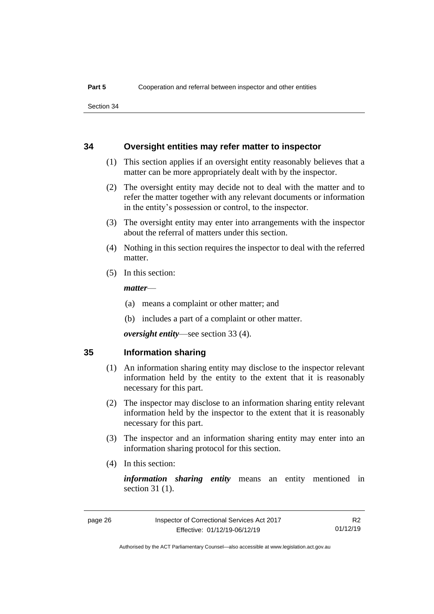Section 34

### <span id="page-31-0"></span>**34 Oversight entities may refer matter to inspector**

- (1) This section applies if an oversight entity reasonably believes that a matter can be more appropriately dealt with by the inspector.
- (2) The oversight entity may decide not to deal with the matter and to refer the matter together with any relevant documents or information in the entity's possession or control, to the inspector.
- (3) The oversight entity may enter into arrangements with the inspector about the referral of matters under this section.
- (4) Nothing in this section requires the inspector to deal with the referred matter.
- (5) In this section:

#### *matter*—

- (a) means a complaint or other matter; and
- (b) includes a part of a complaint or other matter.

*oversight entity*—see section 33 (4).

#### <span id="page-31-1"></span>**35 Information sharing**

- (1) An information sharing entity may disclose to the inspector relevant information held by the entity to the extent that it is reasonably necessary for this part.
- (2) The inspector may disclose to an information sharing entity relevant information held by the inspector to the extent that it is reasonably necessary for this part.
- (3) The inspector and an information sharing entity may enter into an information sharing protocol for this section.
- (4) In this section:

*information sharing entity* means an entity mentioned in section 31 (1).

R2 01/12/19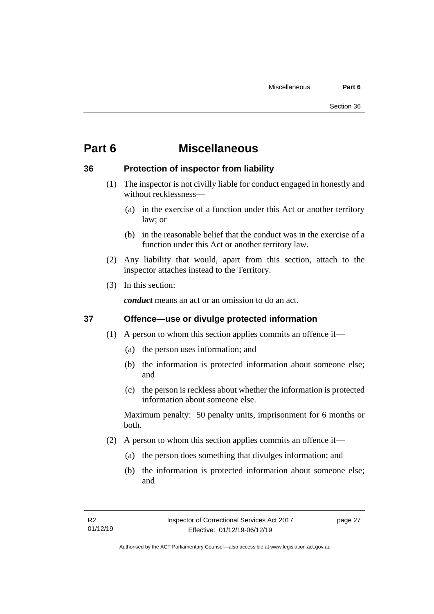## <span id="page-32-0"></span>**Part 6 Miscellaneous**

## <span id="page-32-1"></span>**36 Protection of inspector from liability**

- (1) The inspector is not civilly liable for conduct engaged in honestly and without recklessness—
	- (a) in the exercise of a function under this Act or another territory law; or
	- (b) in the reasonable belief that the conduct was in the exercise of a function under this Act or another territory law.
- (2) Any liability that would, apart from this section, attach to the inspector attaches instead to the Territory.
- (3) In this section:

*conduct* means an act or an omission to do an act.

## <span id="page-32-2"></span>**37 Offence—use or divulge protected information**

- (1) A person to whom this section applies commits an offence if—
	- (a) the person uses information; and
	- (b) the information is protected information about someone else; and
	- (c) the person is reckless about whether the information is protected information about someone else.

Maximum penalty: 50 penalty units, imprisonment for 6 months or both.

- (2) A person to whom this section applies commits an offence if—
	- (a) the person does something that divulges information; and
	- (b) the information is protected information about someone else; and

page 27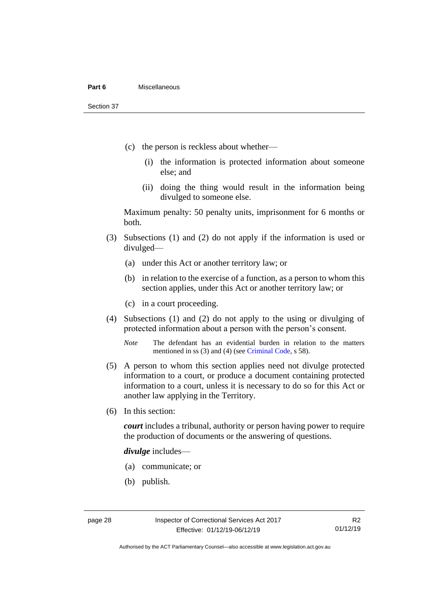#### **Part 6** Miscellaneous

Section 37

- (c) the person is reckless about whether—
	- (i) the information is protected information about someone else; and
	- (ii) doing the thing would result in the information being divulged to someone else.

Maximum penalty: 50 penalty units, imprisonment for 6 months or both.

- (3) Subsections (1) and (2) do not apply if the information is used or divulged—
	- (a) under this Act or another territory law; or
	- (b) in relation to the exercise of a function, as a person to whom this section applies, under this Act or another territory law; or
	- (c) in a court proceeding.
- (4) Subsections (1) and (2) do not apply to the using or divulging of protected information about a person with the person's consent.

*Note* The defendant has an evidential burden in relation to the matters mentioned in ss (3) and (4) (see [Criminal Code,](http://www.legislation.act.gov.au/a/2002-51) s 58).

- (5) A person to whom this section applies need not divulge protected information to a court, or produce a document containing protected information to a court, unless it is necessary to do so for this Act or another law applying in the Territory.
- (6) In this section:

*court* includes a tribunal, authority or person having power to require the production of documents or the answering of questions.

*divulge* includes—

- (a) communicate; or
- (b) publish.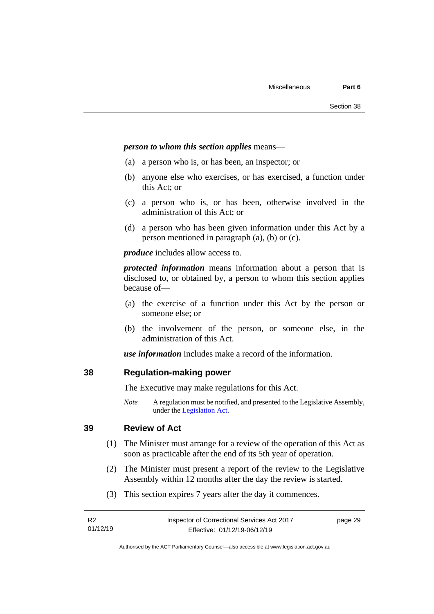#### *person to whom this section applies* means—

- (a) a person who is, or has been, an inspector; or
- (b) anyone else who exercises, or has exercised, a function under this Act; or
- (c) a person who is, or has been, otherwise involved in the administration of this Act; or
- (d) a person who has been given information under this Act by a person mentioned in paragraph (a), (b) or (c).

*produce* includes allow access to.

*protected information* means information about a person that is disclosed to, or obtained by, a person to whom this section applies because of—

- (a) the exercise of a function under this Act by the person or someone else; or
- (b) the involvement of the person, or someone else, in the administration of this Act.

*use information* includes make a record of the information.

## <span id="page-34-0"></span>**38 Regulation-making power**

The Executive may make regulations for this Act.

*Note* A regulation must be notified, and presented to the Legislative Assembly, under the [Legislation Act.](http://www.legislation.act.gov.au/a/2001-14)

## <span id="page-34-1"></span>**39 Review of Act**

- (1) The Minister must arrange for a review of the operation of this Act as soon as practicable after the end of its 5th year of operation.
- (2) The Minister must present a report of the review to the Legislative Assembly within 12 months after the day the review is started.
- (3) This section expires 7 years after the day it commences.

| - R2     | Inspector of Correctional Services Act 2017 | page 29 |
|----------|---------------------------------------------|---------|
| 01/12/19 | Effective: 01/12/19-06/12/19                |         |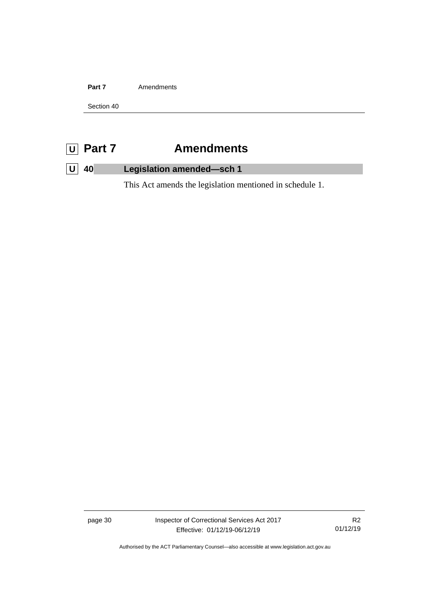Part 7 **Amendments** 

Section 40

## <span id="page-35-0"></span>**U Part 7 Amendments**

## <span id="page-35-1"></span>**U 40 Legislation amended—sch 1**

This Act amends the legislation mentioned in schedule 1.

page 30 Inspector of Correctional Services Act 2017 Effective: 01/12/19-06/12/19

R2 01/12/19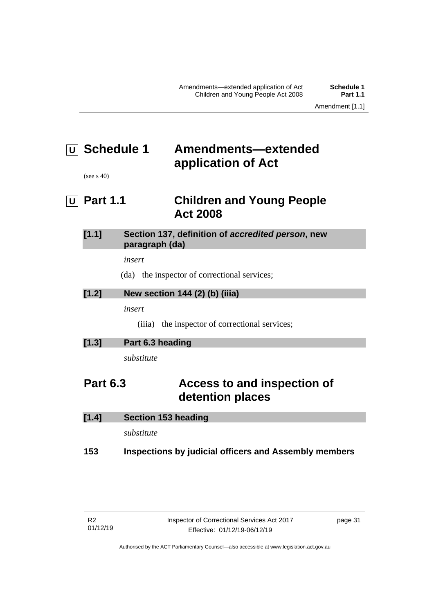# <span id="page-36-0"></span>**U Schedule 1 Amendments—extended application of Act**

(see s 40)

<span id="page-36-1"></span>**U Part 1.1 Children and Young People Act 2008**

| $[1.1]$ | Section 137, definition of accredited person, new |
|---------|---------------------------------------------------|
|         | paragraph (da)                                    |

*insert*

(da) the inspector of correctional services;

## **[1.2] New section 144 (2) (b) (iiia)**

*insert*

(iiia) the inspector of correctional services;

| [1.3]<br>Part 6.3 heading |
|---------------------------|
|---------------------------|

*substitute*

## **Part 6.3 Access to and inspection of detention places**

| 153   | Inspections by judicial officers and Assembly members |
|-------|-------------------------------------------------------|
|       | substitute                                            |
| [1.4] | Section 153 heading                                   |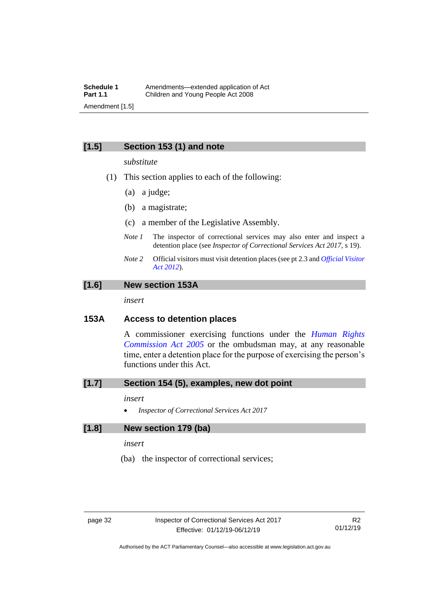## **[1.5] Section 153 (1) and note**

#### *substitute*

- (1) This section applies to each of the following:
	- (a) a judge;
	- (b) a magistrate;
	- (c) a member of the Legislative Assembly.
	- *Note 1* The inspector of correctional services may also enter and inspect a detention place (see *Inspector of Correctional Services Act 2017*, s 19).
	- *Note 2* Official visitors must visit detention places (see pt 2.3 and *[Official Visitor](http://www.legislation.act.gov.au/a/2012-33)  [Act 2012](http://www.legislation.act.gov.au/a/2012-33)*).

## **[1.6] New section 153A**

*insert*

## **153A Access to detention places**

A commissioner exercising functions under the *[Human Rights](http://www.legislation.act.gov.au/a/2005-40)  [Commission Act 2005](http://www.legislation.act.gov.au/a/2005-40)* or the ombudsman may, at any reasonable time, enter a detention place for the purpose of exercising the person's functions under this Act.

### **[1.7] Section 154 (5), examples, new dot point**

#### *insert*

• *Inspector of Correctional Services Act 2017*

## **[1.8] New section 179 (ba)**

*insert*

(ba) the inspector of correctional services;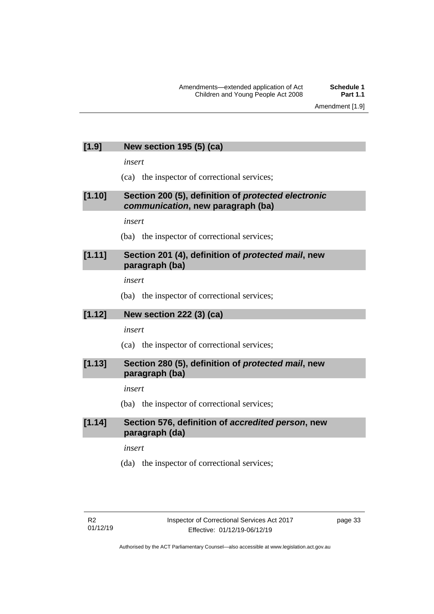## **[1.9] New section 195 (5) (ca)**

*insert*

(ca) the inspector of correctional services;

## **[1.10] Section 200 (5), definition of** *protected electronic communication***, new paragraph (ba)**

*insert*

(ba) the inspector of correctional services;

## **[1.11] Section 201 (4), definition of** *protected mail***, new paragraph (ba)**

*insert*

(ba) the inspector of correctional services;

## **[1.12] New section 222 (3) (ca)**

*insert*

(ca) the inspector of correctional services;

## **[1.13] Section 280 (5), definition of** *protected mail***, new paragraph (ba)**

### *insert*

(ba) the inspector of correctional services;

## **[1.14] Section 576, definition of** *accredited person***, new paragraph (da)**

*insert*

(da) the inspector of correctional services;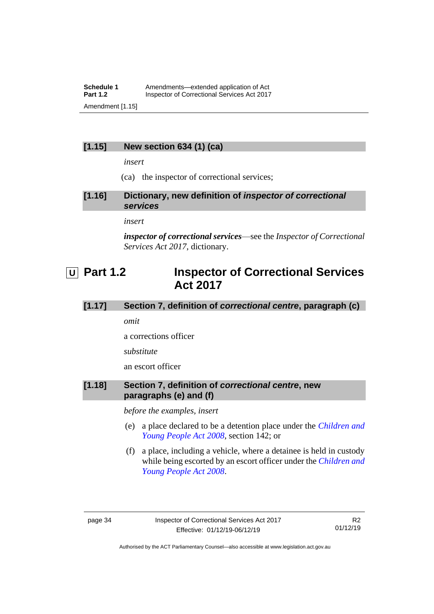## **Schedule 1** Amendments—extended application of Act<br>**Part 1.2** Inspector of Correctional Services Act 2017 **Inspector of Correctional Services Act 2017** Amendment [1.15]

## **[1.15] New section 634 (1) (ca)**

*insert*

(ca) the inspector of correctional services;

**[1.16] Dictionary, new definition of** *inspector of correctional services*

*insert*

*inspector of correctional services*—see the *Inspector of Correctional Services Act 2017*, dictionary.

## <span id="page-39-0"></span>**U Part 1.2 Inspector of Correctional Services Act 2017**

## **[1.17] Section 7, definition of** *correctional centre***, paragraph (c)**

*omit*

a corrections officer

*substitute*

an escort officer

## **[1.18] Section 7, definition of** *correctional centre***, new paragraphs (e) and (f)**

*before the examples, insert*

- (e) a place declared to be a detention place under the *[Children and](http://www.legislation.act.gov.au/a/2008-19)  [Young People Act 2008](http://www.legislation.act.gov.au/a/2008-19)*, section 142; or
- (f) a place, including a vehicle, where a detainee is held in custody while being escorted by an escort officer under the *[Children and](http://www.legislation.act.gov.au/a/2008-19)  [Young People Act 2008](http://www.legislation.act.gov.au/a/2008-19)*.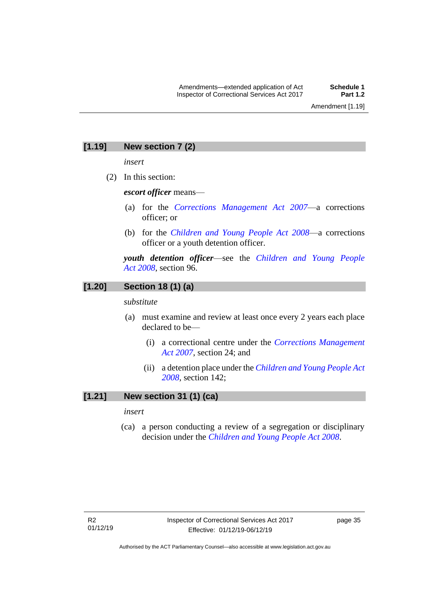## **[1.19] New section 7 (2)**

*insert*

(2) In this section:

*escort officer* means—

- (a) for the *[Corrections Management Act 2007](http://www.legislation.act.gov.au/a/2007-15)*—a corrections officer; or
- (b) for the *[Children and Young People Act 2008](http://www.legislation.act.gov.au/a/2008-19)*—a corrections officer or a youth detention officer.

*youth detention officer*—see the *[Children and Young People](http://www.legislation.act.gov.au/a/2008-19)  Act [2008](http://www.legislation.act.gov.au/a/2008-19)*, section 96.

## **[1.20] Section 18 (1) (a)**

*substitute*

- (a) must examine and review at least once every 2 years each place declared to be—
	- (i) a correctional centre under the *[Corrections Management](http://www.legislation.act.gov.au/a/2007-15)  [Act 2007](http://www.legislation.act.gov.au/a/2007-15)*, section 24; and
	- (ii) a detention place under the *[Children and Young People Act](http://www.legislation.act.gov.au/a/2008-19)  [2008,](http://www.legislation.act.gov.au/a/2008-19)* section 142;

## **[1.21] New section 31 (1) (ca)**

*insert*

(ca) a person conducting a review of a segregation or disciplinary decision under the *[Children and Young People Act 2008](http://www.legislation.act.gov.au/a/2008-19)*.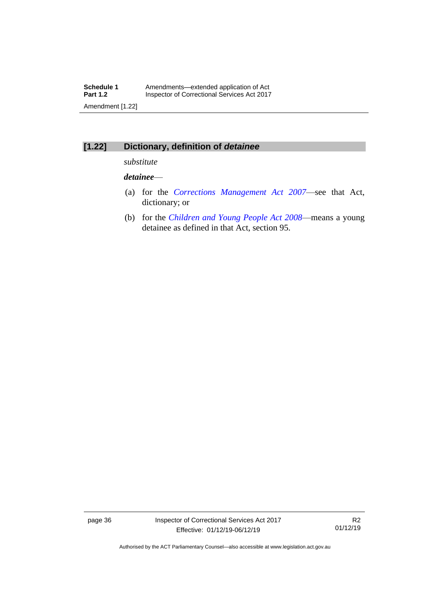## **[1.22] Dictionary, definition of** *detainee*

*substitute*

## *detainee*—

- (a) for the *[Corrections Management Act 2007](http://www.legislation.act.gov.au/a/2007-15)*—see that Act, dictionary; or
- (b) for the *[Children and Young People Act 2008](http://www.legislation.act.gov.au/a/2008-19)*—means a young detainee as defined in that Act, section 95.

page 36 Inspector of Correctional Services Act 2017 Effective: 01/12/19-06/12/19

R2 01/12/19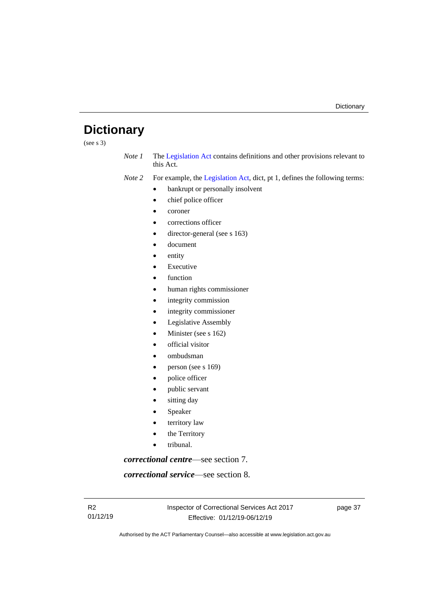## <span id="page-42-0"></span>**Dictionary**

(see s 3)

*Note 1* The [Legislation Act](http://www.legislation.act.gov.au/a/2001-14) contains definitions and other provisions relevant to this Act.

*Note 2* For example, the [Legislation Act,](http://www.legislation.act.gov.au/a/2001-14) dict, pt 1, defines the following terms:

- bankrupt or personally insolvent
- chief police officer
- coroner
- corrections officer
- director-general (see s 163)
- document
- entity
- **Executive**
- function
- human rights commissioner
- integrity commission
- integrity commissioner
- Legislative Assembly
- Minister (see s 162)
- official visitor
- ombudsman
- person (see s 169)
- police officer
- public servant
- sitting day
- **Speaker**
- territory law
- the Territory
- tribunal.

*correctional centre*—see section 7.

*correctional service*—see section 8.

page 37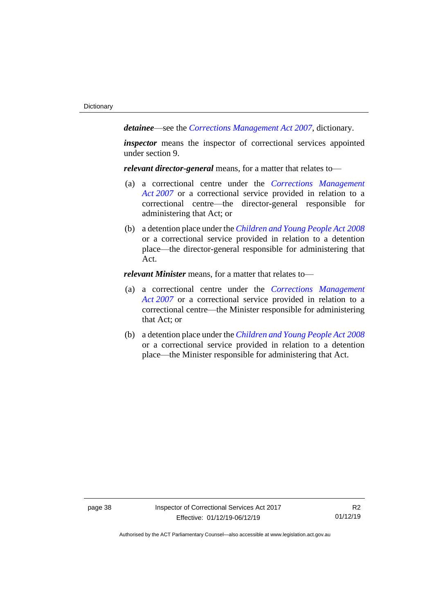*detainee*—see the *[Corrections Management Act 2007](http://www.legislation.act.gov.au/a/2007-15)*, dictionary.

*inspector* means the inspector of correctional services appointed under section 9.

*relevant director-general* means, for a matter that relates to—

- (a) a correctional centre under the *[Corrections Management](http://www.legislation.act.gov.au/a/2007-15)  Act [2007](http://www.legislation.act.gov.au/a/2007-15)* or a correctional service provided in relation to a correctional centre—the director-general responsible for administering that Act; or
- (b) a detention place under the *[Children and Young People Act](http://www.legislation.act.gov.au/a/2008-19) 2008* or a correctional service provided in relation to a detention place—the director-general responsible for administering that Act.

*relevant Minister* means, for a matter that relates to—

- (a) a correctional centre under the *[Corrections Management](http://www.legislation.act.gov.au/a/2007-15)  Act [2007](http://www.legislation.act.gov.au/a/2007-15)* or a correctional service provided in relation to a correctional centre—the Minister responsible for administering that Act; or
- (b) a detention place under the *[Children and Young People Act](http://www.legislation.act.gov.au/a/2008-19) 2008* or a correctional service provided in relation to a detention place—the Minister responsible for administering that Act.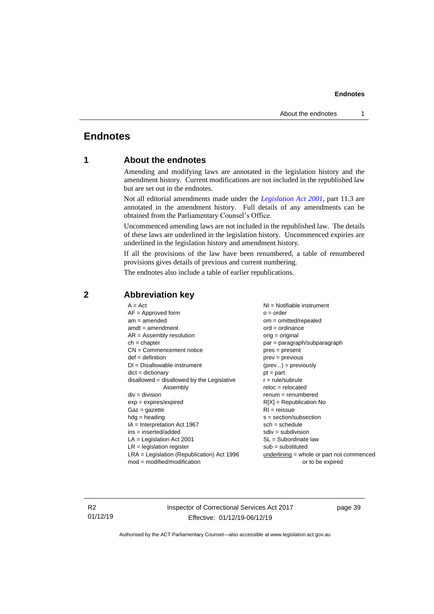#### **Endnotes**

## <span id="page-44-1"></span><span id="page-44-0"></span>**Endnotes**

## **1 About the endnotes**

Amending and modifying laws are annotated in the legislation history and the amendment history. Current modifications are not included in the republished law but are set out in the endnotes.

Not all editorial amendments made under the *[Legislation Act 2001](http://www.legislation.act.gov.au/a/2001-14)*, part 11.3 are annotated in the amendment history. Full details of any amendments can be obtained from the Parliamentary Counsel's Office.

Uncommenced amending laws are not included in the republished law. The details of these laws are underlined in the legislation history. Uncommenced expiries are underlined in the legislation history and amendment history.

If all the provisions of the law have been renumbered, a table of renumbered provisions gives details of previous and current numbering.

The endnotes also include a table of earlier republications.

| $A = Act$                                    | $NI =$ Notifiable instrument              |
|----------------------------------------------|-------------------------------------------|
| $AF =$ Approved form                         | $o = order$                               |
| $am = amended$                               | $om = omitted/report$                     |
| $amdt = amendment$                           | $ord = ordinance$                         |
| $AR = Assembly resolution$                   | $orig = original$                         |
| $ch = chapter$                               | $par = paragraph/subparagraph$            |
| $CN =$ Commencement notice                   | $pres = present$                          |
| $def = definition$                           | $prev = previous$                         |
| $DI = Disallowable instrument$               | $(\text{prev}) = \text{previously}$       |
| $dict = dictionary$                          | $pt = part$                               |
| disallowed = disallowed by the Legislative   | $r = rule/subrule$                        |
| Assembly                                     | $reloc = relocated$                       |
| $div =$ division                             | $remum = renumbered$                      |
| $exp = expires/expired$                      | $R[X]$ = Republication No                 |
| $Gaz = gazette$                              | $RI = reissue$                            |
| $hdg =$ heading                              | $s = section/subsection$                  |
| $IA = Interpretation Act 1967$               | $sch = schedule$                          |
| $ins = inserted/added$                       | $sdiv = subdivision$                      |
| $LA =$ Legislation Act 2001                  | $SL = Subordinate$ law                    |
| $LR =$ legislation register                  | $sub =$ substituted                       |
| $LRA =$ Legislation (Republication) Act 1996 | underlining = whole or part not commenced |
| $mod = modified/modification$                | or to be expired                          |
|                                              |                                           |

## <span id="page-44-2"></span>**2 Abbreviation key**

R2 01/12/19 Inspector of Correctional Services Act 2017 Effective: 01/12/19-06/12/19

page 39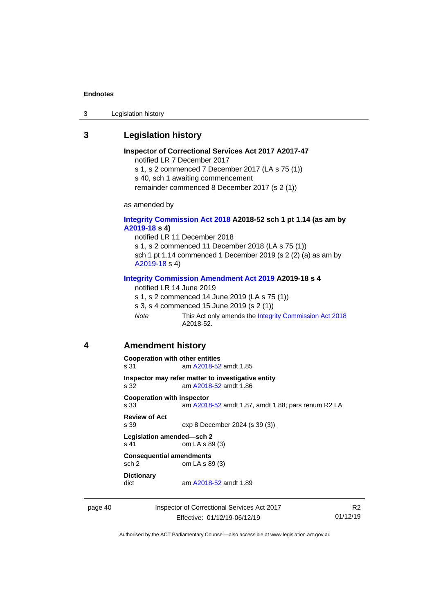#### **Endnotes**

3 Legislation history

## <span id="page-45-0"></span>**3 Legislation history**

**Inspector of Correctional Services Act 2017 A2017-47** notified LR 7 December 2017 s 1, s 2 commenced 7 December 2017 (LA s 75 (1)) s 40, sch 1 awaiting commencement remainder commenced 8 December 2017 (s 2 (1))

as amended by

#### **[Integrity Commission Act 2018](http://www.legislation.act.gov.au/a/2018-52#history) A2018-52 sch 1 pt 1.14 (as am by [A2019-18](https://www.legislation.act.gov.au/a/2019-18) s 4)**

notified LR 11 December 2018 s 1, s 2 commenced 11 December 2018 (LA s 75 (1)) sch 1 pt 1.14 commenced 1 December 2019 (s 2 (2) (a) as am by [A2019-18](https://www.legislation.act.gov.au/a/2019-18) s 4)

#### **[Integrity Commission Amendment Act 2019](https://www.legislation.act.gov.au/a/2019-18/) A2019-18 s 4**

notified LR 14 June 2019

s 1, s 2 commenced 14 June 2019 (LA s 75 (1))

- s 3, s 4 commenced 15 June 2019 (s 2 (1))
- *Note* This Act only amends th[e Integrity Commission Act 2018](http://www.legislation.act.gov.au/a/2018-52#history) A2018-52.

#### <span id="page-45-1"></span>**4 Amendment history**

```
Cooperation with other entities
s 31 am A2018-52 amdt 1.85
Inspector may refer matter to investigative entity
s 32 am A2018-52 amdt 1.86
Cooperation with inspector
s 33 am A2018-52 amdt 1.87, amdt 1.88; pars renum R2 LA
Review of Act
               exp 8 December 2024 (s 39 (3))
Legislation amended—sch 2
s 41 om LA s 89 (3)
Consequential amendments
sch 2 om LA s 89 (3)
Dictionary
                A2018-52 amdt 1.89
```
page 40 Inspector of Correctional Services Act 2017 Effective: 01/12/19-06/12/19

R2 01/12/19